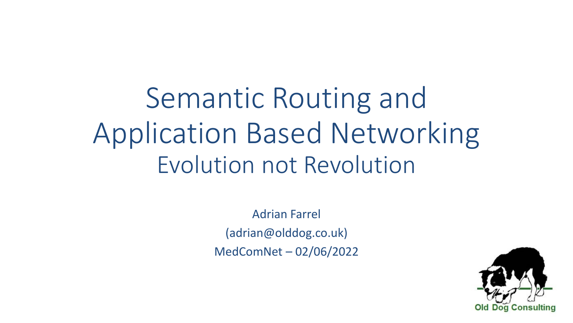Semantic Routing and Application Based Networking Evolution not Revolution

> Adrian Farrel (adrian@olddog.co.uk) MedComNet – 02/06/2022

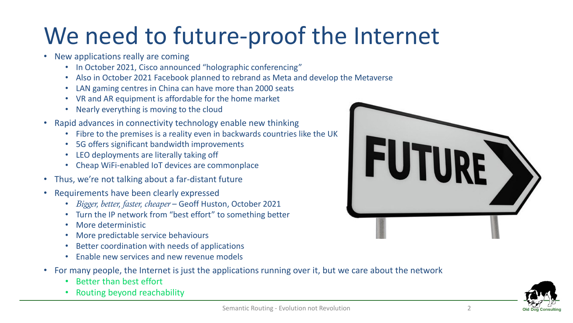# We need to future-proof the Internet

- New applications really are coming
	- In October 2021, Cisco announced "holographic conferencing"
	- Also in October 2021 Facebook planned to rebrand as Meta and develop the Metaverse
	- LAN gaming centres in China can have more than 2000 seats
	- VR and AR equipment is affordable for the home market
	- Nearly everything is moving to the cloud
- Rapid advances in connectivity technology enable new thinking
	- Fibre to the premises is a reality even in backwards countries like the UK
	- 5G offers significant bandwidth improvements
	- LEO deployments are literally taking off
	- Cheap WiFi-enabled IoT devices are commonplace
- Thus, we're not talking about a far-distant future
- Requirements have been clearly expressed
	- *Bigger, better, faster, cheaper* Geoff Huston, October 2021
	- Turn the IP network from "best effort" to something better
	- More deterministic
	- More predictable service behaviours
	- Better coordination with needs of applications
	- Enable new services and new revenue models
- For many people, the Internet is just the applications running over it, but we care about the network
	- Better than best effort
	- Routing beyond reachability



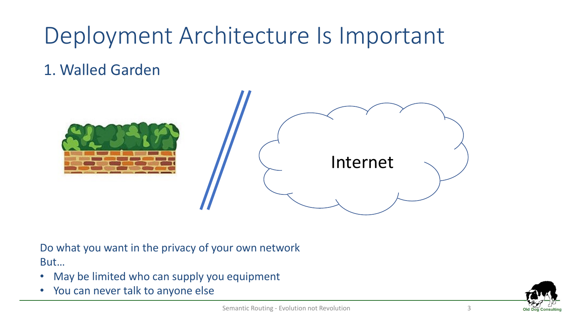#### 1. Walled Garden



#### Do what you want in the privacy of your own network But…

- May be limited who can supply you equipment
- You can never talk to anyone else

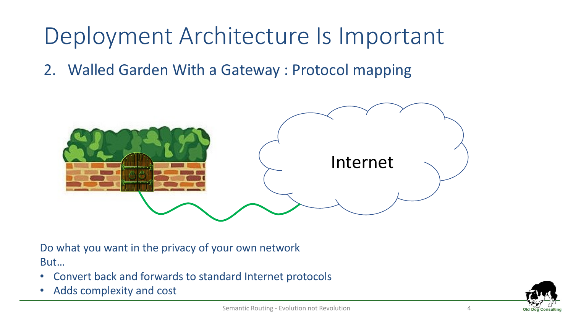2. Walled Garden With a Gateway : Protocol mapping



Do what you want in the privacy of your own network But…

- Convert back and forwards to standard Internet protocols
- Adds complexity and cost

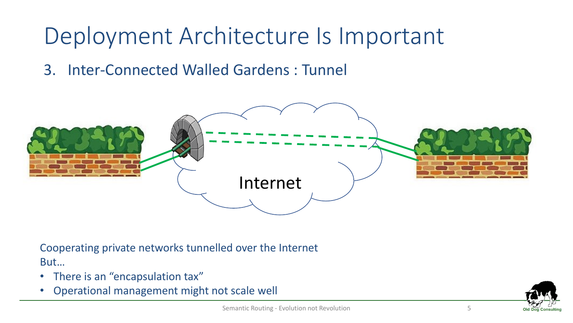3. Inter-Connected Walled Gardens : Tunnel



Cooperating private networks tunnelled over the Internet But…

- There is an "encapsulation tax"
- Operational management might not scale well

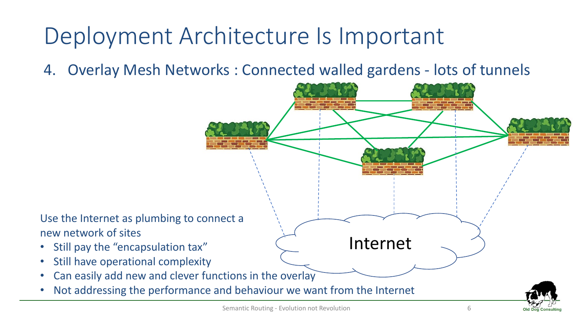4. Overlay Mesh Networks : Connected walled gardens - lots of tunnels

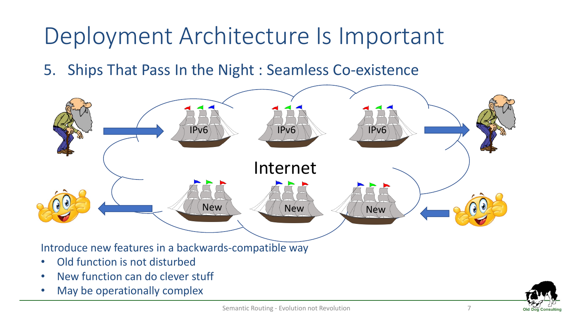5. Ships That Pass In the Night : Seamless Co-existence



• May be operationally complex

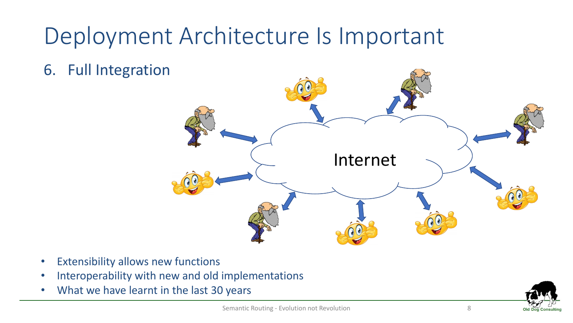6. Full Integration



- Extensibility allows new functions
- Interoperability with new and old implementations
- What we have learnt in the last 30 years

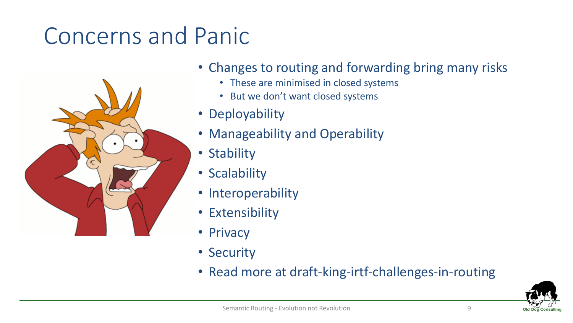#### Concerns and Panic



- Changes to routing and forwarding bring many risks
	- These are minimised in closed systems
	- But we don't want closed systems
- Deployability
- Manageability and Operability
- Stability
- Scalability
- Interoperability
- Extensibility
- Privacy
- Security
- Read more at draft-king-irtf-challenges-in-routing

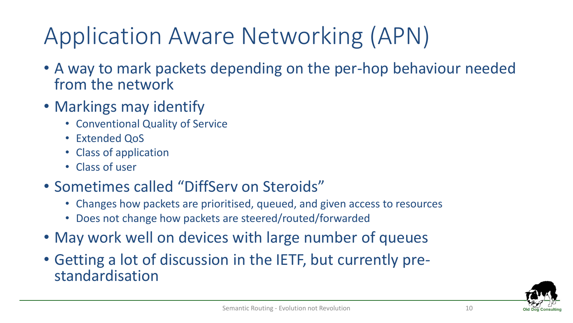# Application Aware Networking (APN)

- A way to mark packets depending on the per-hop behaviour needed from the network
- Markings may identify
	- Conventional Quality of Service
	- Extended QoS
	- Class of application
	- Class of user
- Sometimes called "DiffServ on Steroids"
	- Changes how packets are prioritised, queued, and given access to resources
	- Does not change how packets are steered/routed/forwarded
- May work well on devices with large number of queues
- Getting a lot of discussion in the IETF, but currently prestandardisation

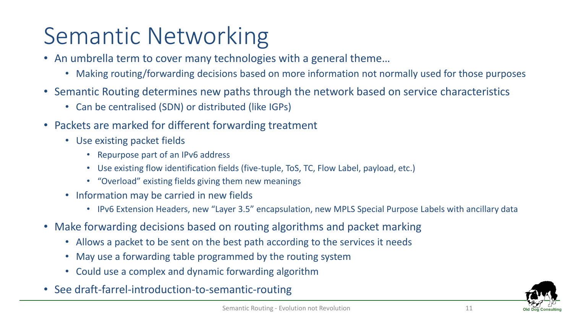# Semantic Networking

- An umbrella term to cover many technologies with a general theme…
	- Making routing/forwarding decisions based on more information not normally used for those purposes
- Semantic Routing determines new paths through the network based on service characteristics
	- Can be centralised (SDN) or distributed (like IGPs)
- Packets are marked for different forwarding treatment
	- Use existing packet fields
		- Repurpose part of an IPv6 address
		- Use existing flow identification fields (five-tuple, ToS, TC, Flow Label, payload, etc.)
		- "Overload" existing fields giving them new meanings
	- Information may be carried in new fields
		- IPv6 Extension Headers, new "Layer 3.5" encapsulation, new MPLS Special Purpose Labels with ancillary data
- Make forwarding decisions based on routing algorithms and packet marking
	- Allows a packet to be sent on the best path according to the services it needs
	- May use a forwarding table programmed by the routing system
	- Could use a complex and dynamic forwarding algorithm
- See draft-farrel-introduction-to-semantic-routing

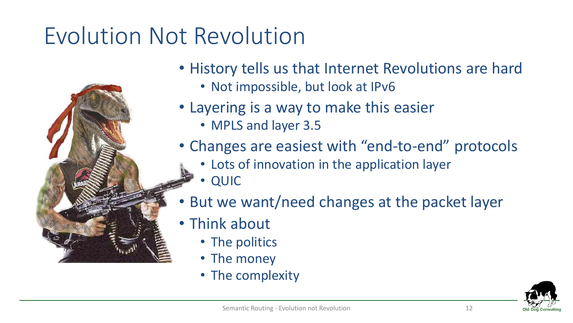# Evolution Not Revolution

- History tells us that Internet Revolutions are hard
	- Not impossible, but look at IPv6
- Layering is a way to make this easier
	- MPLS and layer 3.5
- Changes are easiest with "end-to-end" protocols
	- Lots of innovation in the application layer
	- QUIC
- But we want/need changes at the packet layer
- Think about
	- The politics
	- The money
	- The complexity